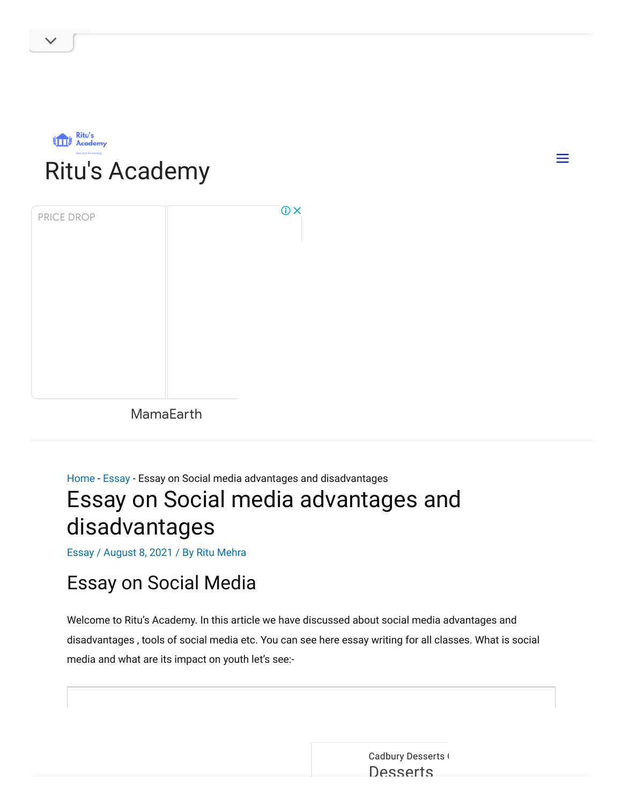

| PRICE DROP | <b>OX</b> |
|------------|-----------|
|            |           |
|            |           |
|            |           |
|            |           |
|            |           |

[MamaEarth](https://www.googleadservices.com/pagead/aclk?sa=L&ai=C8JU6PHkoYsiLNo3svQSfprjgDYOhs_Zop6e19qwPm5-pyJMbEAEgsLirfmDl2ueDzA6gAZr7rp4DyAEJqQIOuugONPJLPqgDAcgDywSqBJ0CT9AKx4HPFxuMh7aX-Plra2WhrGePEfLmJB6cw6z0vDn1WPp_0F4mvILON5kZH3w_eh6PXhP_wVHIcyq39LIqoWKSG0kh1usDBM_gPMSqoEy3C-3tJ7zc946qLymlF1C1snPyPY_hG-zewJ4ZXpZEUGjAO8zaxnVthEQBG6XRaMjB0TT0GOMwZBjw78_DKcGNgxXQImZwRhIMElvV0iReooIb-S291W_R1-g0u3uPAxPO4J_lZNtzq3RS6m_De2kO3pp64V9B_BJbKUnLZIDXsB-VI10mU6MyOJyrXvxQYxaeNquejFlqip_n0kEevd-vOKOCZq84K8Ymgxw42QUt4aAgd4VdWu52o-0TQHm8QYT_ymWhWv-_NyDmM8X_wATykKG97wOIBYrp6t44wAUF-gUGCCUQARgAkAYBoAYu2AYCgAfOhNFhiAcBkAcCqAeOzhuoB5PYG6gH7paxAqgH_p6xAqgHpKOxAqgHpr4bqAfz0RuoB5bYG6gHqpuxAqgH35-xAtgHAPoHEGNvbS5tYW1hZWFydGhhcHCgCLrBPbAIAsAIAdIIBggAEAIYGoAKAZALA5gLAcgLAYAMAbgMAeASjau-p9TD1pQU2BMLghQSGhByaXR1c2FjYWRlbXkuY29t0BUBmBYB-BYBgBcB&ae=1&num=1&cid=CAMSeQClSFh3JoFQGCub6VXjdrq1i2mXWJYYVsGUAFMAzL8WSZy43lfs9yWiW0O1F-h54kAFxGupvn08OEMAP4K-aHELj1wVcvi1oN0RqKeip4smTVrR72sA-AUv2x-d0f7ECi3Q8RJv13QP1kVyZosL8jrPhHzRNxEW430&sig=AOD64_24z7wPb759XFKgIu0V0TcxMRzf-w&ctype=5&client=ca-pub-3314644971991727&nb=19&adurl=https://mamaearth.in/product/vitamin-c-face-wash-with-vitamin-c-and-turmeric-for-skin-illumination-25ml%3Futm_source%3Dgoogle%26utm_medium%3Dcpc%26utm_term%3D%26gclid%3DCjwKCAiAvaGRBhBlEiwAiY-yMELF5NaERHf4P4qMYrfF-WL0u_XRz_0RcPCF2hk9r5UVLkCGilQyNhoChJoQAvD_BwE)

## [Home](https://ritusacademy.com/) - [Essay](https://ritusacademy.com/category/essay/) - Essay on Social media advantages and disadvantages Essay on Social media advantages and

# disadvantages

[Essay](https://ritusacademy.com/category/essay/) / August 8, 2021 / By Ritu [Mehra](https://ritusacademy.com/author/ritumehra19820713/)

## Essay on Social Media

Welcome to Ritu's Academy. In this article we have discussed about social media advantages and disadvantages , tools of social media etc. You can see here essay writing for all classes. What is social media and what are its impact on youth let's see:-

> Cadbury [Desserts](https://www.googleadservices.com/pagead/aclk?sa=L&ai=CUqkKPHkoYtbBLo6ZvgSlkIXYBqHh4JFo7dn747wP0YLp544OEAEgsLirfmDl2ueDzA6gAanGyMAByAEBqQKdbnaimfNLPqgDAaoEnQJP0D3eKseL3Mi25OFM-qzrvJGWUK_zsrof1XBdfZ59r2gqSY7o9LrAtMj681kMEh2_ugmps2uT3Y_RShyAYz-mjOzM_AQVCZn0r_40ZoyRa1NRuI24BAByh1FyxmpOoI_lq1ARuaSmz9oxdgyKuRm4rScGBJLGVQIjzDoSX4s4d2Fh36wv9FZay2jpR10BvVDBMexarHOqvqblmojy5jzFAfOkqJaVclxKkYSoakOyujQ4YQf3cvebn0R__nSVtWM6Cirao3gCKg5byYH44CuhO9ipzuuOehkkyIVghdmlmsDNg-exzS-J186hYWMNwXTdrVdUi1H3nrjy6jLUSTA5Shb6RK--1gxPSy8TbJdR1U5xvJ9cpZ1vaiaNghXABNvt97eABIgF2JauxjmQBgHYBgKAB7-5t78CiAcBkAcCqAeOzhuoB5PYG6gH7paxAqgH_p6xAqgHpKOxAqgH1ckbqAemvhuoB_PRG6gHltgbqAeqm7ECqAffn7EC2AcBoAi6wT2wCALSCAYIABACGBqxCaJwTklQgdL3gAoBmAsByAsBuAwB2BMMghQSGhByaXR1c2FjYWRlbXkuY29t0BUBmBYB-BYBgBcB&ae=1&num=1&cid=CAMSeQClSFh3q0m7BooTlMPzWnue1BNtZt1RfgPc_w8yNhVHowHqaqAGDvddrQDXbkf36uQ-Yzu4z_vYoXjIOEuS_9tzukmbHCZCNvs26gP4Gmk_gGAhQ5PqdY0UJG_bQqGOVdYBg-93nXsezAvSa28r2nLVa2_Fv7qVNtY&sig=AOD64_2h0G_Af3kgDcMtEPD2sg1af_hvCw&client=ca-pub-3314644971991727&nb=1&adurl=https://www.dessertscorner.com/%3Futm_medium%3Dsocial%26utm_source%3Dgoogle-ads%26utm_campaign%3Ddest_dessert-corner_in_q4_2021_inr_eng_nov-dec_est-122220_in21ca25%26utm_term%3Dperformance-max-conversion-via-website%26utm_content%3D1x1%26utm_term%3D%26utm_campaign%3DPerformance%2BMax%2B-%2BConversion%2B-%2BDEC21%26utm_source%3Dadwords%26utm_medium%3Dppc%26hsa_acc%3D4392398188%26hsa_cam%3D15448374681%26hsa_grp%3D%26hsa_ad%3D%26hsa_src%3Dx%26hsa_tgt%3D%26hsa_kw%3D%26hsa_mt%3D%26hsa_net%3Dadwords%26hsa_ver%3D3%26gclid%3DCjwKCAiAvaGRBhBlEiwAiY-yMB_mA9JY8YqS8C6eUtH-9AoNqM_ONdIRBaBpBT1QPlrPunFImqDkUBoCVrMQAvD_BwE) ( **[Desserts](https://www.googleadservices.com/pagead/aclk?sa=L&ai=CUqkKPHkoYtbBLo6ZvgSlkIXYBqHh4JFo7dn747wP0YLp544OEAEgsLirfmDl2ueDzA6gAanGyMAByAEBqQKdbnaimfNLPqgDAaoEnQJP0D3eKseL3Mi25OFM-qzrvJGWUK_zsrof1XBdfZ59r2gqSY7o9LrAtMj681kMEh2_ugmps2uT3Y_RShyAYz-mjOzM_AQVCZn0r_40ZoyRa1NRuI24BAByh1FyxmpOoI_lq1ARuaSmz9oxdgyKuRm4rScGBJLGVQIjzDoSX4s4d2Fh36wv9FZay2jpR10BvVDBMexarHOqvqblmojy5jzFAfOkqJaVclxKkYSoakOyujQ4YQf3cvebn0R__nSVtWM6Cirao3gCKg5byYH44CuhO9ipzuuOehkkyIVghdmlmsDNg-exzS-J186hYWMNwXTdrVdUi1H3nrjy6jLUSTA5Shb6RK--1gxPSy8TbJdR1U5xvJ9cpZ1vaiaNghXABNvt97eABIgF2JauxjmQBgHYBgKAB7-5t78CiAcBkAcCqAeOzhuoB5PYG6gH7paxAqgH_p6xAqgHpKOxAqgH1ckbqAemvhuoB_PRG6gHltgbqAeqm7ECqAffn7EC2AcBoAi6wT2wCALSCAYIABACGBqxCaJwTklQgdL3gAoBmAsByAsBuAwB2BMMghQSGhByaXR1c2FjYWRlbXkuY29t0BUBmBYB-BYBgBcB&ae=1&num=1&cid=CAMSeQClSFh3q0m7BooTlMPzWnue1BNtZt1RfgPc_w8yNhVHowHqaqAGDvddrQDXbkf36uQ-Yzu4z_vYoXjIOEuS_9tzukmbHCZCNvs26gP4Gmk_gGAhQ5PqdY0UJG_bQqGOVdYBg-93nXsezAvSa28r2nLVa2_Fv7qVNtY&sig=AOD64_2h0G_Af3kgDcMtEPD2sg1af_hvCw&client=ca-pub-3314644971991727&nb=0&adurl=https://www.dessertscorner.com/%3Futm_medium%3Dsocial%26utm_source%3Dgoogle-ads%26utm_campaign%3Ddest_dessert-corner_in_q4_2021_inr_eng_nov-dec_est-122220_in21ca25%26utm_term%3Dperformance-max-conversion-via-website%26utm_content%3D1x1%26utm_term%3D%26utm_campaign%3DPerformance%2BMax%2B-%2BConversion%2B-%2BDEC21%26utm_source%3Dadwords%26utm_medium%3Dppc%26hsa_acc%3D4392398188%26hsa_cam%3D15448374681%26hsa_grp%3D%26hsa_ad%3D%26hsa_src%3Dx%26hsa_tgt%3D%26hsa_kw%3D%26hsa_mt%3D%26hsa_net%3Dadwords%26hsa_ver%3D3%26gclid%3DCjwKCAiAvaGRBhBlEiwAiY-yMB_mA9JY8YqS8C6eUtH-9AoNqM_ONdIRBaBpBT1QPlrPunFImqDkUBoCVrMQAvD_BwE)**

 $\equiv$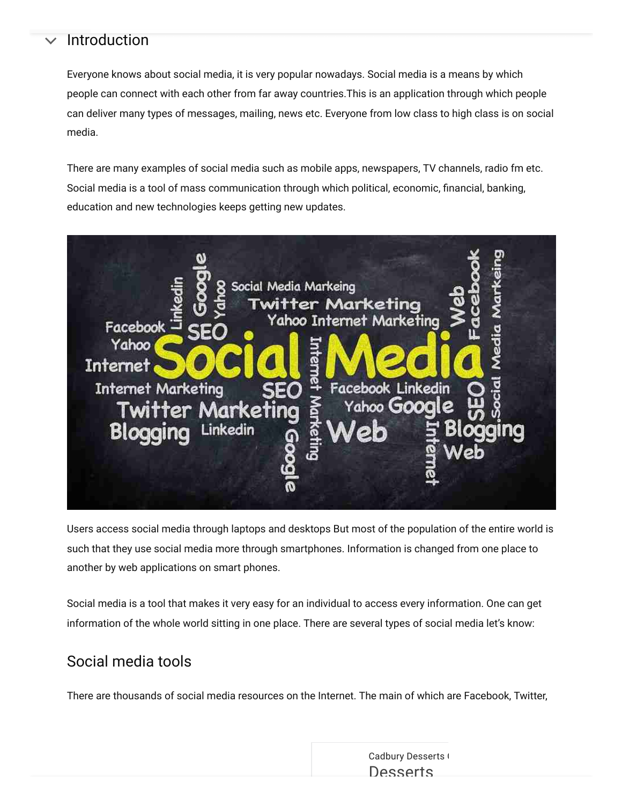#### Introduction

Everyone knows about social media, it is very popular nowadays. Social media is a means by which people can connect with each other from far away countries.This is an application through which people can deliver many types of messages, mailing, news etc. Everyone from low class to high class is on social media.

There are many examples of social media such as mobile apps, newspapers, TV channels, radio fm etc. Social media is a tool of mass communication through which political, economic, financial, banking, education and new technologies keeps getting new updates.



Users access social media through laptops and desktops But most of the population of the entire world is such that they use social media more through smartphones. Information is changed from one place to another by web applications on smart phones.

Social media is a tool that makes it very easy for an individual to access every information. One can get information of the whole world sitting in one place. There are several types of social media let's know:

## Social media tools

There are thousands of social media resources on the Internet. The main of which are Facebook, Twitter,

Cadbury [Desserts](https://www.googleadservices.com/pagead/aclk?sa=L&ai=CUqkKPHkoYtbBLo6ZvgSlkIXYBqHh4JFo7dn747wP0YLp544OEAEgsLirfmDl2ueDzA6gAanGyMAByAEBqQKdbnaimfNLPqgDAaoEnQJP0D3eKseL3Mi25OFM-qzrvJGWUK_zsrof1XBdfZ59r2gqSY7o9LrAtMj681kMEh2_ugmps2uT3Y_RShyAYz-mjOzM_AQVCZn0r_40ZoyRa1NRuI24BAByh1FyxmpOoI_lq1ARuaSmz9oxdgyKuRm4rScGBJLGVQIjzDoSX4s4d2Fh36wv9FZay2jpR10BvVDBMexarHOqvqblmojy5jzFAfOkqJaVclxKkYSoakOyujQ4YQf3cvebn0R__nSVtWM6Cirao3gCKg5byYH44CuhO9ipzuuOehkkyIVghdmlmsDNg-exzS-J186hYWMNwXTdrVdUi1H3nrjy6jLUSTA5Shb6RK--1gxPSy8TbJdR1U5xvJ9cpZ1vaiaNghXABNvt97eABIgF2JauxjmQBgHYBgKAB7-5t78CiAcBkAcCqAeOzhuoB5PYG6gH7paxAqgH_p6xAqgHpKOxAqgH1ckbqAemvhuoB_PRG6gHltgbqAeqm7ECqAffn7EC2AcBoAi6wT2wCALSCAYIABACGBqxCaJwTklQgdL3gAoBmAsByAsBuAwB2BMMghQSGhByaXR1c2FjYWRlbXkuY29t0BUBmBYB-BYBgBcB&ae=1&num=1&cid=CAMSeQClSFh3q0m7BooTlMPzWnue1BNtZt1RfgPc_w8yNhVHowHqaqAGDvddrQDXbkf36uQ-Yzu4z_vYoXjIOEuS_9tzukmbHCZCNvs26gP4Gmk_gGAhQ5PqdY0UJG_bQqGOVdYBg-93nXsezAvSa28r2nLVa2_Fv7qVNtY&sig=AOD64_2h0G_Af3kgDcMtEPD2sg1af_hvCw&client=ca-pub-3314644971991727&nb=1&adurl=https://www.dessertscorner.com/%3Futm_medium%3Dsocial%26utm_source%3Dgoogle-ads%26utm_campaign%3Ddest_dessert-corner_in_q4_2021_inr_eng_nov-dec_est-122220_in21ca25%26utm_term%3Dperformance-max-conversion-via-website%26utm_content%3D1x1%26utm_term%3D%26utm_campaign%3DPerformance%2BMax%2B-%2BConversion%2B-%2BDEC21%26utm_source%3Dadwords%26utm_medium%3Dppc%26hsa_acc%3D4392398188%26hsa_cam%3D15448374681%26hsa_grp%3D%26hsa_ad%3D%26hsa_src%3Dx%26hsa_tgt%3D%26hsa_kw%3D%26hsa_mt%3D%26hsa_net%3Dadwords%26hsa_ver%3D3%26gclid%3DCjwKCAiAvaGRBhBlEiwAiY-yMB_mA9JY8YqS8C6eUtH-9AoNqM_ONdIRBaBpBT1QPlrPunFImqDkUBoCVrMQAvD_BwE) ( **[Desserts](https://www.googleadservices.com/pagead/aclk?sa=L&ai=CUqkKPHkoYtbBLo6ZvgSlkIXYBqHh4JFo7dn747wP0YLp544OEAEgsLirfmDl2ueDzA6gAanGyMAByAEBqQKdbnaimfNLPqgDAaoEnQJP0D3eKseL3Mi25OFM-qzrvJGWUK_zsrof1XBdfZ59r2gqSY7o9LrAtMj681kMEh2_ugmps2uT3Y_RShyAYz-mjOzM_AQVCZn0r_40ZoyRa1NRuI24BAByh1FyxmpOoI_lq1ARuaSmz9oxdgyKuRm4rScGBJLGVQIjzDoSX4s4d2Fh36wv9FZay2jpR10BvVDBMexarHOqvqblmojy5jzFAfOkqJaVclxKkYSoakOyujQ4YQf3cvebn0R__nSVtWM6Cirao3gCKg5byYH44CuhO9ipzuuOehkkyIVghdmlmsDNg-exzS-J186hYWMNwXTdrVdUi1H3nrjy6jLUSTA5Shb6RK--1gxPSy8TbJdR1U5xvJ9cpZ1vaiaNghXABNvt97eABIgF2JauxjmQBgHYBgKAB7-5t78CiAcBkAcCqAeOzhuoB5PYG6gH7paxAqgH_p6xAqgHpKOxAqgH1ckbqAemvhuoB_PRG6gHltgbqAeqm7ECqAffn7EC2AcBoAi6wT2wCALSCAYIABACGBqxCaJwTklQgdL3gAoBmAsByAsBuAwB2BMMghQSGhByaXR1c2FjYWRlbXkuY29t0BUBmBYB-BYBgBcB&ae=1&num=1&cid=CAMSeQClSFh3q0m7BooTlMPzWnue1BNtZt1RfgPc_w8yNhVHowHqaqAGDvddrQDXbkf36uQ-Yzu4z_vYoXjIOEuS_9tzukmbHCZCNvs26gP4Gmk_gGAhQ5PqdY0UJG_bQqGOVdYBg-93nXsezAvSa28r2nLVa2_Fv7qVNtY&sig=AOD64_2h0G_Af3kgDcMtEPD2sg1af_hvCw&client=ca-pub-3314644971991727&nb=0&adurl=https://www.dessertscorner.com/%3Futm_medium%3Dsocial%26utm_source%3Dgoogle-ads%26utm_campaign%3Ddest_dessert-corner_in_q4_2021_inr_eng_nov-dec_est-122220_in21ca25%26utm_term%3Dperformance-max-conversion-via-website%26utm_content%3D1x1%26utm_term%3D%26utm_campaign%3DPerformance%2BMax%2B-%2BConversion%2B-%2BDEC21%26utm_source%3Dadwords%26utm_medium%3Dppc%26hsa_acc%3D4392398188%26hsa_cam%3D15448374681%26hsa_grp%3D%26hsa_ad%3D%26hsa_src%3Dx%26hsa_tgt%3D%26hsa_kw%3D%26hsa_mt%3D%26hsa_net%3Dadwords%26hsa_ver%3D3%26gclid%3DCjwKCAiAvaGRBhBlEiwAiY-yMB_mA9JY8YqS8C6eUtH-9AoNqM_ONdIRBaBpBT1QPlrPunFImqDkUBoCVrMQAvD_BwE)**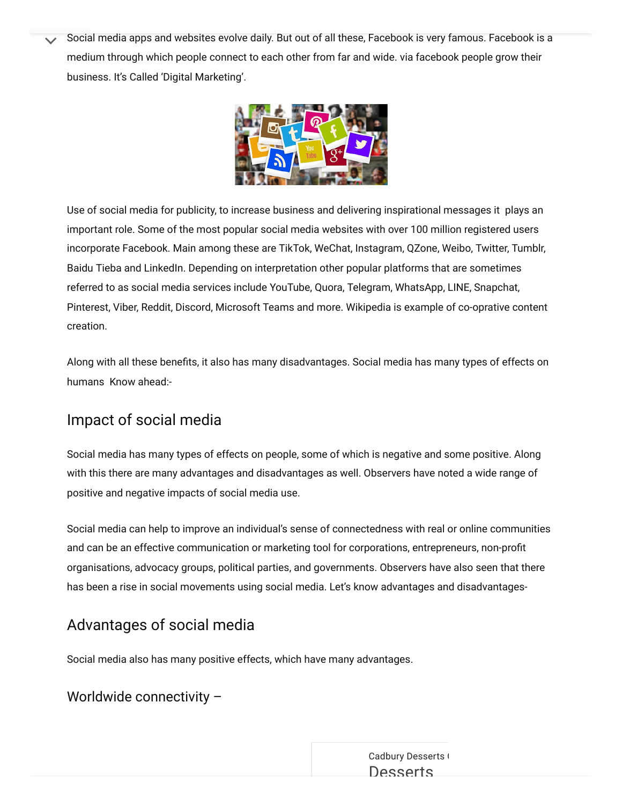Social media apps and websites evolve daily. But out of all these, Facebook is very famous. Facebook is a medium through which people connect to each other from far and wide. via facebook people grow their business. It's Called 'Digital Marketing'.



Use of social media for publicity, to increase business and delivering inspirational messages it plays an important role. Some of the most popular social media websites with over 100 million registered users incorporate Facebook. Main among these are TikTok, WeChat, Instagram, QZone, Weibo, Twitter, Tumblr, Baidu Tieba and LinkedIn. Depending on interpretation other popular platforms that are sometimes referred to as social media services include YouTube, Quora, Telegram, WhatsApp, LINE, Snapchat, Pinterest, Viber, Reddit, Discord, Microsoft Teams and more. Wikipedia is example of co-oprative content creation.

Along with all these benefits, it also has many disadvantages. Social media has many types of effects on humans Know ahead:-

## Impact of social media

Social media has many types of effects on people, some of which is negative and some positive. Along with this there are many advantages and disadvantages as well. Observers have noted a wide range of positive and negative impacts of social media use.

Social media can help to improve an individual's sense of connectedness with real or online communities and can be an effective communication or marketing tool for corporations, entrepreneurs, non-profit organisations, advocacy groups, political parties, and governments. Observers have also seen that there has been a rise in social movements using social media. Let's know advantages and disadvantages-

## Advantages of social media

Social media also has many positive effects, which have many advantages.

#### Worldwide connectivity –

content posted there to spread virally over social networks. In a social media content or website that are  $C$  and bury [Desserts](https://www.googleadservices.com/pagead/aclk?sa=L&ai=CUqkKPHkoYtbBLo6ZvgSlkIXYBqHh4JFo7dn747wP0YLp544OEAEgsLirfmDl2ueDzA6gAanGyMAByAEBqQKdbnaimfNLPqgDAaoEnQJP0D3eKseL3Mi25OFM-qzrvJGWUK_zsrof1XBdfZ59r2gqSY7o9LrAtMj681kMEh2_ugmps2uT3Y_RShyAYz-mjOzM_AQVCZn0r_40ZoyRa1NRuI24BAByh1FyxmpOoI_lq1ARuaSmz9oxdgyKuRm4rScGBJLGVQIjzDoSX4s4d2Fh36wv9FZay2jpR10BvVDBMexarHOqvqblmojy5jzFAfOkqJaVclxKkYSoakOyujQ4YQf3cvebn0R__nSVtWM6Cirao3gCKg5byYH44CuhO9ipzuuOehkkyIVghdmlmsDNg-exzS-J186hYWMNwXTdrVdUi1H3nrjy6jLUSTA5Shb6RK--1gxPSy8TbJdR1U5xvJ9cpZ1vaiaNghXABNvt97eABIgF2JauxjmQBgHYBgKAB7-5t78CiAcBkAcCqAeOzhuoB5PYG6gH7paxAqgH_p6xAqgHpKOxAqgH1ckbqAemvhuoB_PRG6gHltgbqAeqm7ECqAffn7EC2AcBoAi6wT2wCALSCAYIABACGBqxCaJwTklQgdL3gAoBmAsByAsBuAwB2BMMghQSGhByaXR1c2FjYWRlbXkuY29t0BUBmBYB-BYBgBcB&ae=1&num=1&cid=CAMSeQClSFh3q0m7BooTlMPzWnue1BNtZt1RfgPc_w8yNhVHowHqaqAGDvddrQDXbkf36uQ-Yzu4z_vYoXjIOEuS_9tzukmbHCZCNvs26gP4Gmk_gGAhQ5PqdY0UJG_bQqGOVdYBg-93nXsezAvSa28r2nLVa2_Fv7qVNtY&sig=AOD64_2h0G_Af3kgDcMtEPD2sg1af_hvCw&client=ca-pub-3314644971991727&nb=1&adurl=https://www.dessertscorner.com/%3Futm_medium%3Dsocial%26utm_source%3Dgoogle-ads%26utm_campaign%3Ddest_dessert-corner_in_q4_2021_inr_eng_nov-dec_est-122220_in21ca25%26utm_term%3Dperformance-max-conversion-via-website%26utm_content%3D1x1%26utm_term%3D%26utm_campaign%3DPerformance%2BMax%2B-%2BConversion%2B-%2BDEC21%26utm_source%3Dadwords%26utm_medium%3Dppc%26hsa_acc%3D4392398188%26hsa_cam%3D15448374681%26hsa_grp%3D%26hsa_ad%3D%26hsa_src%3Dx%26hsa_tgt%3D%26hsa_kw%3D%26hsa_mt%3D%26hsa_net%3Dadwords%26hsa_ver%3D3%26gclid%3DCjwKCAiAvaGRBhBlEiwAiY-yMB_mA9JY8YqS8C6eUtH-9AoNqM_ONdIRBaBpBT1QPlrPunFImqDkUBoCVrMQAvD_BwE) that are  $C$ **[Desserts](https://www.googleadservices.com/pagead/aclk?sa=L&ai=CUqkKPHkoYtbBLo6ZvgSlkIXYBqHh4JFo7dn747wP0YLp544OEAEgsLirfmDl2ueDzA6gAanGyMAByAEBqQKdbnaimfNLPqgDAaoEnQJP0D3eKseL3Mi25OFM-qzrvJGWUK_zsrof1XBdfZ59r2gqSY7o9LrAtMj681kMEh2_ugmps2uT3Y_RShyAYz-mjOzM_AQVCZn0r_40ZoyRa1NRuI24BAByh1FyxmpOoI_lq1ARuaSmz9oxdgyKuRm4rScGBJLGVQIjzDoSX4s4d2Fh36wv9FZay2jpR10BvVDBMexarHOqvqblmojy5jzFAfOkqJaVclxKkYSoakOyujQ4YQf3cvebn0R__nSVtWM6Cirao3gCKg5byYH44CuhO9ipzuuOehkkyIVghdmlmsDNg-exzS-J186hYWMNwXTdrVdUi1H3nrjy6jLUSTA5Shb6RK--1gxPSy8TbJdR1U5xvJ9cpZ1vaiaNghXABNvt97eABIgF2JauxjmQBgHYBgKAB7-5t78CiAcBkAcCqAeOzhuoB5PYG6gH7paxAqgH_p6xAqgHpKOxAqgH1ckbqAemvhuoB_PRG6gHltgbqAeqm7ECqAffn7EC2AcBoAi6wT2wCALSCAYIABACGBqxCaJwTklQgdL3gAoBmAsByAsBuAwB2BMMghQSGhByaXR1c2FjYWRlbXkuY29t0BUBmBYB-BYBgBcB&ae=1&num=1&cid=CAMSeQClSFh3q0m7BooTlMPzWnue1BNtZt1RfgPc_w8yNhVHowHqaqAGDvddrQDXbkf36uQ-Yzu4z_vYoXjIOEuS_9tzukmbHCZCNvs26gP4Gmk_gGAhQ5PqdY0UJG_bQqGOVdYBg-93nXsezAvSa28r2nLVa2_Fv7qVNtY&sig=AOD64_2h0G_Af3kgDcMtEPD2sg1af_hvCw&client=ca-pub-3314644971991727&nb=0&adurl=https://www.dessertscorner.com/%3Futm_medium%3Dsocial%26utm_source%3Dgoogle-ads%26utm_campaign%3Ddest_dessert-corner_in_q4_2021_inr_eng_nov-dec_est-122220_in21ca25%26utm_term%3Dperformance-max-conversion-via-website%26utm_content%3D1x1%26utm_term%3D%26utm_campaign%3DPerformance%2BMax%2B-%2BConversion%2B-%2BDEC21%26utm_source%3Dadwords%26utm_medium%3Dppc%26hsa_acc%3D4392398188%26hsa_cam%3D15448374681%26hsa_grp%3D%26hsa_ad%3D%26hsa_src%3Dx%26hsa_tgt%3D%26hsa_kw%3D%26hsa_mt%3D%26hsa_net%3Dadwords%26hsa_ver%3D3%26gclid%3DCjwKCAiAvaGRBhBlEiwAiY-yMB_mA9JY8YqS8C6eUtH-9AoNqM_ONdIRBaBpBT1QPlrPunFImqDkUBoCVrMQAvD_BwE)**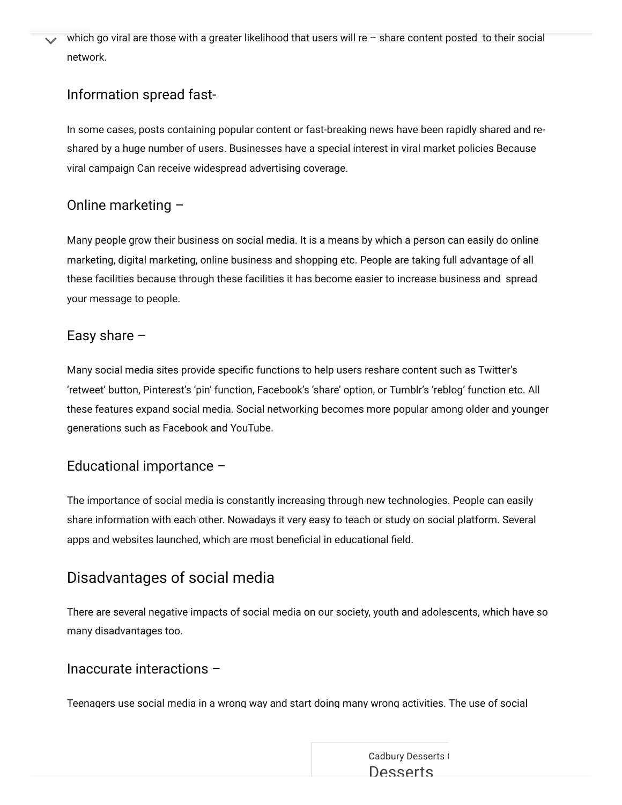which go viral are those with a greater likelihood that users will re - share content posted to their social network.

#### Information spread fast-

In some cases, posts containing popular content or fast-breaking news have been rapidly shared and reshared by a huge number of users. Businesses have a special interest in viral market policies Because viral campaign Can receive widespread advertising coverage.

## Online marketing –

Many people grow their business on social media. It is a means by which a person can easily do online marketing, digital marketing, online business and shopping etc. People are taking full advantage of all these facilities because through these facilities it has become easier to increase business and spread your message to people.

#### Easy share  $-$

Many social media sites provide specific functions to help users reshare content such as Twitter's 'retweet' button, Pinterest's 'pin' function, Facebook's 'share' option, or Tumblr's 'reblog' function etc. All these features expand social media. Social networking becomes more popular among older and younger generations such as Facebook and YouTube.

#### Educational importance –

The importance of social media is constantly increasing through new technologies. People can easily share information with each other. Nowadays it very easy to teach or study on social platform. Several apps and websites launched, which are most beneficial in educational field.

## Disadvantages of social media

There are several negative impacts of social media on our society, youth and adolescents, which have so many disadvantages too.

#### Inaccurate interactions –

Teenagers use social media in a wrong way and start doing many wrong activities. The use of social

Cadbury [Desserts](https://www.googleadservices.com/pagead/aclk?sa=L&ai=CUqkKPHkoYtbBLo6ZvgSlkIXYBqHh4JFo7dn747wP0YLp544OEAEgsLirfmDl2ueDzA6gAanGyMAByAEBqQKdbnaimfNLPqgDAaoEnQJP0D3eKseL3Mi25OFM-qzrvJGWUK_zsrof1XBdfZ59r2gqSY7o9LrAtMj681kMEh2_ugmps2uT3Y_RShyAYz-mjOzM_AQVCZn0r_40ZoyRa1NRuI24BAByh1FyxmpOoI_lq1ARuaSmz9oxdgyKuRm4rScGBJLGVQIjzDoSX4s4d2Fh36wv9FZay2jpR10BvVDBMexarHOqvqblmojy5jzFAfOkqJaVclxKkYSoakOyujQ4YQf3cvebn0R__nSVtWM6Cirao3gCKg5byYH44CuhO9ipzuuOehkkyIVghdmlmsDNg-exzS-J186hYWMNwXTdrVdUi1H3nrjy6jLUSTA5Shb6RK--1gxPSy8TbJdR1U5xvJ9cpZ1vaiaNghXABNvt97eABIgF2JauxjmQBgHYBgKAB7-5t78CiAcBkAcCqAeOzhuoB5PYG6gH7paxAqgH_p6xAqgHpKOxAqgH1ckbqAemvhuoB_PRG6gHltgbqAeqm7ECqAffn7EC2AcBoAi6wT2wCALSCAYIABACGBqxCaJwTklQgdL3gAoBmAsByAsBuAwB2BMMghQSGhByaXR1c2FjYWRlbXkuY29t0BUBmBYB-BYBgBcB&ae=1&num=1&cid=CAMSeQClSFh3q0m7BooTlMPzWnue1BNtZt1RfgPc_w8yNhVHowHqaqAGDvddrQDXbkf36uQ-Yzu4z_vYoXjIOEuS_9tzukmbHCZCNvs26gP4Gmk_gGAhQ5PqdY0UJG_bQqGOVdYBg-93nXsezAvSa28r2nLVa2_Fv7qVNtY&sig=AOD64_2h0G_Af3kgDcMtEPD2sg1af_hvCw&client=ca-pub-3314644971991727&nb=1&adurl=https://www.dessertscorner.com/%3Futm_medium%3Dsocial%26utm_source%3Dgoogle-ads%26utm_campaign%3Ddest_dessert-corner_in_q4_2021_inr_eng_nov-dec_est-122220_in21ca25%26utm_term%3Dperformance-max-conversion-via-website%26utm_content%3D1x1%26utm_term%3D%26utm_campaign%3DPerformance%2BMax%2B-%2BConversion%2B-%2BDEC21%26utm_source%3Dadwords%26utm_medium%3Dppc%26hsa_acc%3D4392398188%26hsa_cam%3D15448374681%26hsa_grp%3D%26hsa_ad%3D%26hsa_src%3Dx%26hsa_tgt%3D%26hsa_kw%3D%26hsa_mt%3D%26hsa_net%3Dadwords%26hsa_ver%3D3%26gclid%3DCjwKCAiAvaGRBhBlEiwAiY-yMB_mA9JY8YqS8C6eUtH-9AoNqM_ONdIRBaBpBT1QPlrPunFImqDkUBoCVrMQAvD_BwE) ( **[Desserts](https://www.googleadservices.com/pagead/aclk?sa=L&ai=CUqkKPHkoYtbBLo6ZvgSlkIXYBqHh4JFo7dn747wP0YLp544OEAEgsLirfmDl2ueDzA6gAanGyMAByAEBqQKdbnaimfNLPqgDAaoEnQJP0D3eKseL3Mi25OFM-qzrvJGWUK_zsrof1XBdfZ59r2gqSY7o9LrAtMj681kMEh2_ugmps2uT3Y_RShyAYz-mjOzM_AQVCZn0r_40ZoyRa1NRuI24BAByh1FyxmpOoI_lq1ARuaSmz9oxdgyKuRm4rScGBJLGVQIjzDoSX4s4d2Fh36wv9FZay2jpR10BvVDBMexarHOqvqblmojy5jzFAfOkqJaVclxKkYSoakOyujQ4YQf3cvebn0R__nSVtWM6Cirao3gCKg5byYH44CuhO9ipzuuOehkkyIVghdmlmsDNg-exzS-J186hYWMNwXTdrVdUi1H3nrjy6jLUSTA5Shb6RK--1gxPSy8TbJdR1U5xvJ9cpZ1vaiaNghXABNvt97eABIgF2JauxjmQBgHYBgKAB7-5t78CiAcBkAcCqAeOzhuoB5PYG6gH7paxAqgH_p6xAqgHpKOxAqgH1ckbqAemvhuoB_PRG6gHltgbqAeqm7ECqAffn7EC2AcBoAi6wT2wCALSCAYIABACGBqxCaJwTklQgdL3gAoBmAsByAsBuAwB2BMMghQSGhByaXR1c2FjYWRlbXkuY29t0BUBmBYB-BYBgBcB&ae=1&num=1&cid=CAMSeQClSFh3q0m7BooTlMPzWnue1BNtZt1RfgPc_w8yNhVHowHqaqAGDvddrQDXbkf36uQ-Yzu4z_vYoXjIOEuS_9tzukmbHCZCNvs26gP4Gmk_gGAhQ5PqdY0UJG_bQqGOVdYBg-93nXsezAvSa28r2nLVa2_Fv7qVNtY&sig=AOD64_2h0G_Af3kgDcMtEPD2sg1af_hvCw&client=ca-pub-3314644971991727&nb=0&adurl=https://www.dessertscorner.com/%3Futm_medium%3Dsocial%26utm_source%3Dgoogle-ads%26utm_campaign%3Ddest_dessert-corner_in_q4_2021_inr_eng_nov-dec_est-122220_in21ca25%26utm_term%3Dperformance-max-conversion-via-website%26utm_content%3D1x1%26utm_term%3D%26utm_campaign%3DPerformance%2BMax%2B-%2BConversion%2B-%2BDEC21%26utm_source%3Dadwords%26utm_medium%3Dppc%26hsa_acc%3D4392398188%26hsa_cam%3D15448374681%26hsa_grp%3D%26hsa_ad%3D%26hsa_src%3Dx%26hsa_tgt%3D%26hsa_kw%3D%26hsa_mt%3D%26hsa_net%3Dadwords%26hsa_ver%3D3%26gclid%3DCjwKCAiAvaGRBhBlEiwAiY-yMB_mA9JY8YqS8C6eUtH-9AoNqM_ONdIRBaBpBT1QPlrPunFImqDkUBoCVrMQAvD_BwE)**